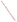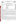![](_page_1_Picture_0.jpeg)

#### **UNITED STATES ENVIRONMENTAL PROTECTION AGENCY**  Office of Research and Development Washington, D.C. 20460

![](_page_1_Picture_2.jpeg)

### **ENVIRONMENTAL TECHNOLOGY VERIFICATION PROGRAM VERIFICATION STATEMENT**

| <b>TECHNOLOGY TYPE:</b>           | <b>FIELD-PORTABLE GAS CHROMATOGRAPH</b>                                  |
|-----------------------------------|--------------------------------------------------------------------------|
| APPLICATION:                      | MEASUREMENT OF CHLORINATED VOLATILE ORGANIC<br><b>COMPOUNDS IN WATER</b> |
| <b>TECHNOLOGY NAME:</b>           | <b>Scentograph Plus II</b>                                               |
| <b>COMPANY</b><br><b>ADDRESS:</b> | Sentex Systems, Inc.<br>553 Broad Ave.<br>Ridgefield, NJ 07657           |
| PHONE:                            | $(201)$ 945-3694                                                         |

## **PROGRAM DESCRIPTION**

The U.S. Environmental Protection Agency (EPA) created the Environmental Technology Verification (ETV) Program to facilitate the deployment of innovative environmental technologies through performance verification and information dissemination. The goal of the ETV Program is to further environmental protection by substantially accelerating the acceptance and use of improved and cost-effective technologies. The ETV Program is intended to assist and inform those involved in the design, distribution, permitting, and purchase of environmental technologies.

Under this program, in partnership with recognized testing organizations, and with the full participation of the technology developer, the EPA evaluates the performance of innovative technologies by developing demonstration plans, conducting field tests, collecting and analyzing the demonstration results, and preparing reports. The testing is conducted in accordance with rigorous quality assurance protocols to ensure that data of known and adequate quality are generated and that the results are defensible. The EPA National Exposure Research Laboratory, in cooperation with Sandia National Laboratories, the testing organization, evaluated field-portable systems for monitoring chlorinated volatile organic compounds (VOCs) in water. This verification statement provides a summary of the demonstration and results for the Sentex Systems, Inc. Scentograph Plus II, field-portable gas chromatograph (GC).

#### **DEMONSTRATION DESCRIPTION**

The field demonstration of the Scentograph Plus II portable GC was held in September 1997. The demonstration was designed to assess the ability of the instrument to detect and measure chlorinated VOCs in groundwater at two contaminated sites: the Department of Energy's Savannah River Site, near Aiken, South Carolina, and the McClellan Air Force Base, near Sacramento, California. Groundwater samples from each site were supplemented with performance evaluation (PE) samples of known composition. Both sample types were used to assess instrument accuracy, precision, sample throughput, and comparability to reference laboratory results. The primary target compounds at the Savannah River Site were trichloroethene and tetrachloroethene. At McClellan Air Force Base, the target compounds were trichloroethene, tetrachloroethene, 1,2-dichloroethane, 1,1,2-trichloroethane, 1,2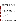dichloropropane, and *trans*-1,3-dichloropropene. These sites were chosen because they contain varied concentrations of chlorinated VOCs and exhibit different climatic and geological conditions. The conditions at these sites are typical, but not inclusive, of those under which this technology would be expected to operate. A complete description of the demonstration, including a data summary and discussion of results, may be found in the report entitled *Environmental Technology Verification Report, Field-Portable Gas Chromatograph, Sentex Systems, Inc., Scentograph Plus II*. (EPA/600/R-98/145).

## **TECHNOLOGY DESCRIPTION**

Gas chromatography with electron capture detection is a proven analytical technology that has been used in environmental laboratories for many years. The gas chromatographic column separates the sample into individual components. The electron capture detector measures a change in electron current from a sealed radioactive source as compounds exit the chromatographic column, move through the detector, and capture electrons. The electron capture detector is particularly sensitive to chlorinated compounds. Compound identification is achieved by matching the column retention time of sample components, run under controlled temperature conditions, to those of standard mixtures run under similar conditions. Quantitation is achieved by comparing the detector response intensity of sample component and standard. A GC offers some potential for identification of unknown components in a mixture; however, a confirmational analysis by an alternative method is often advisable. Portable GC is a versatile technique that can be used to provide rapid screening data or routine monitoring of groundwater samples. In many GC systems, the instrument configuration can also be quickly changed to accommodate different sample matrices such as soil, soil gas, water, or air. As with all field analytical studies, it may be necessary to send a portion of the samples to an independent laboratory for confirmatory analyses.

The Scentograph Plus II consists of three modules: a purge-and-trap unit, a GC, and a notebook computer for instrument control and data acquisition. The entire system weighs about 80 pounds and is about the size of a large suitcase. The units can be easily transported and operated in the rear compartment of a minivan or station wagon. Instrument detection levels for most chlorinated VOCs in water range from 0.1 to 50  $\mu$ g/L. Sample processing and analysis can be accomplished by a chemical technician; however, instrument method development, instrument calibration, and data processing require a higher level of operator experience and training. The recommended training interval for routine sample processing is 1 day for a field technician with limited GC experience. At the time of the demonstration, the baseline cost of the Scentograph Plus II was \$35,000. Operational costs, which take into account consumable supplies, are on the order of \$25 per 8-hour day.

# **VERIFICATION OF PERFORMANCE**

The following performance characteristics of the Scentograph Plus II were observed:

*Sample Throughput:* Throughput was about two samples per hour. This rate includes the periodic analysis of blanks and calibration check samples. The sample throughput rate is influenced by the complexity of the sample, with less complex samples yielding higher throughput rates.

*Completeness:* The Scentograph Plus II reported results for all 165 PE evaluation and groundwater samples provided for analysis at the two demonstration sites.

*Analytical Versatility:* The Scentograph Plus II was calibrated for and detected 59% (19 of 32) of the PE sample VOC compounds in the PE samples provided for analysis at the demonstration. Three pairs of coeluting compounds were encountered with the GC methods used during this demonstration. For the groundwater contaminant compounds for which it was calibrated, the Scentograph Plus II detected 35 of the 62 compounds reported by the reference laboratory at concentration levels in excess of  $1 \mu g/L$ . A total of 68 compounds were detected by the reference laboratory in all groundwater samples.

*Precision:* Precision was determined by analyzing sets of four replicate samples from a variety of PE mixtures containing known concentrations of chlorinated VOCs. The results are reported in terms of relative standard deviations (RSD). The RSDs compiled for all reported compounds from both sites had a median value of 8% and a